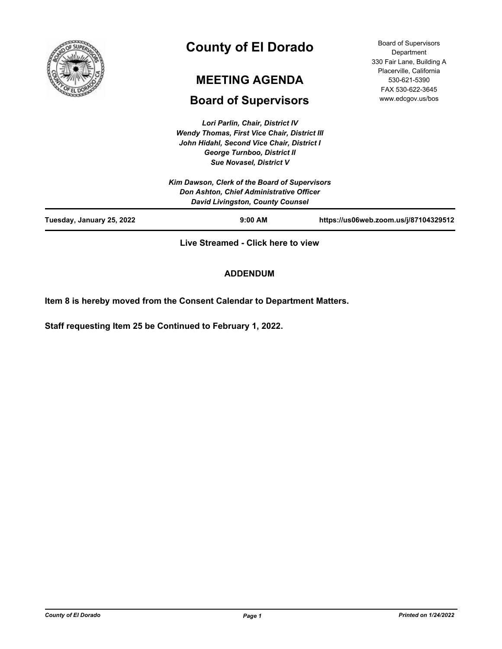

# **County of El Dorado**

# **MEETING AGENDA**

# **Board of Supervisors**

*Lori Parlin, Chair, District IV Wendy Thomas, First Vice Chair, District III John Hidahl, Second Vice Chair, District I George Turnboo, District II Sue Novasel, District V*

Board of Supervisors Department 330 Fair Lane, Building A Placerville, California 530-621-5390 FAX 530-622-3645 www.edcgov.us/bos

|                           | <b>Sue Novasel, District V</b>                                                            |                                       |
|---------------------------|-------------------------------------------------------------------------------------------|---------------------------------------|
|                           | Kim Dawson, Clerk of the Board of Supervisors<br>Don Ashton, Chief Administrative Officer |                                       |
|                           | <b>David Livingston, County Counsel</b>                                                   |                                       |
| Tuesday, January 25, 2022 | $9:00$ AM                                                                                 | https://us06web.zoom.us/j/87104329512 |
|                           |                                                                                           |                                       |

**Live Streamed - Click here to view**

## **ADDENDUM**

**Item 8 is hereby moved from the Consent Calendar to Department Matters.**

**Staff requesting Item 25 be Continued to February 1, 2022.**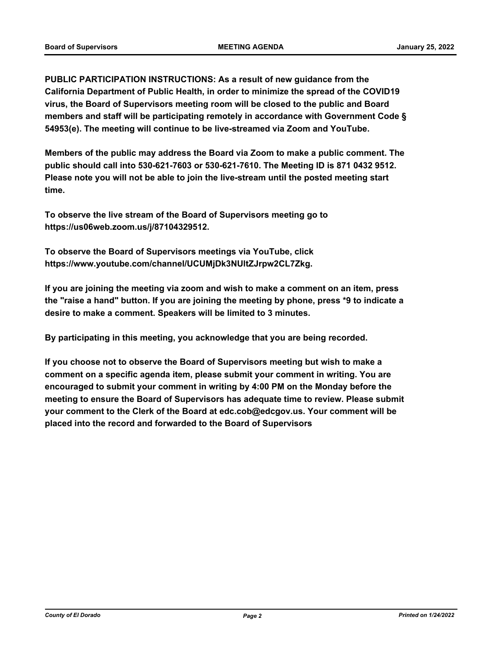**PUBLIC PARTICIPATION INSTRUCTIONS: As a result of new guidance from the California Department of Public Health, in order to minimize the spread of the COVID19 virus, the Board of Supervisors meeting room will be closed to the public and Board members and staff will be participating remotely in accordance with Government Code § 54953(e). The meeting will continue to be live-streamed via Zoom and YouTube.**

**Members of the public may address the Board via Zoom to make a public comment. The public should call into 530-621-7603 or 530-621-7610. The Meeting ID is 871 0432 9512. Please note you will not be able to join the live-stream until the posted meeting start time.**

**To observe the live stream of the Board of Supervisors meeting go to https://us06web.zoom.us/j/87104329512.**

**To observe the Board of Supervisors meetings via YouTube, click https://www.youtube.com/channel/UCUMjDk3NUltZJrpw2CL7Zkg.**

**If you are joining the meeting via zoom and wish to make a comment on an item, press the "raise a hand" button. If you are joining the meeting by phone, press \*9 to indicate a desire to make a comment. Speakers will be limited to 3 minutes.**

**By participating in this meeting, you acknowledge that you are being recorded.**

**If you choose not to observe the Board of Supervisors meeting but wish to make a comment on a specific agenda item, please submit your comment in writing. You are encouraged to submit your comment in writing by 4:00 PM on the Monday before the meeting to ensure the Board of Supervisors has adequate time to review. Please submit your comment to the Clerk of the Board at edc.cob@edcgov.us. Your comment will be placed into the record and forwarded to the Board of Supervisors**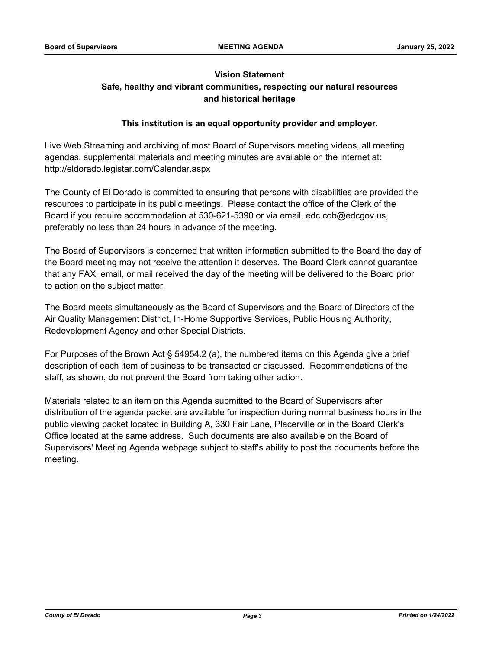## **Vision Statement Safe, healthy and vibrant communities, respecting our natural resources and historical heritage**

## **This institution is an equal opportunity provider and employer.**

Live Web Streaming and archiving of most Board of Supervisors meeting videos, all meeting agendas, supplemental materials and meeting minutes are available on the internet at: http://eldorado.legistar.com/Calendar.aspx

The County of El Dorado is committed to ensuring that persons with disabilities are provided the resources to participate in its public meetings. Please contact the office of the Clerk of the Board if you require accommodation at 530-621-5390 or via email, edc.cob@edcgov.us, preferably no less than 24 hours in advance of the meeting.

The Board of Supervisors is concerned that written information submitted to the Board the day of the Board meeting may not receive the attention it deserves. The Board Clerk cannot guarantee that any FAX, email, or mail received the day of the meeting will be delivered to the Board prior to action on the subject matter.

The Board meets simultaneously as the Board of Supervisors and the Board of Directors of the Air Quality Management District, In-Home Supportive Services, Public Housing Authority, Redevelopment Agency and other Special Districts.

For Purposes of the Brown Act § 54954.2 (a), the numbered items on this Agenda give a brief description of each item of business to be transacted or discussed. Recommendations of the staff, as shown, do not prevent the Board from taking other action.

Materials related to an item on this Agenda submitted to the Board of Supervisors after distribution of the agenda packet are available for inspection during normal business hours in the public viewing packet located in Building A, 330 Fair Lane, Placerville or in the Board Clerk's Office located at the same address. Such documents are also available on the Board of Supervisors' Meeting Agenda webpage subject to staff's ability to post the documents before the meeting.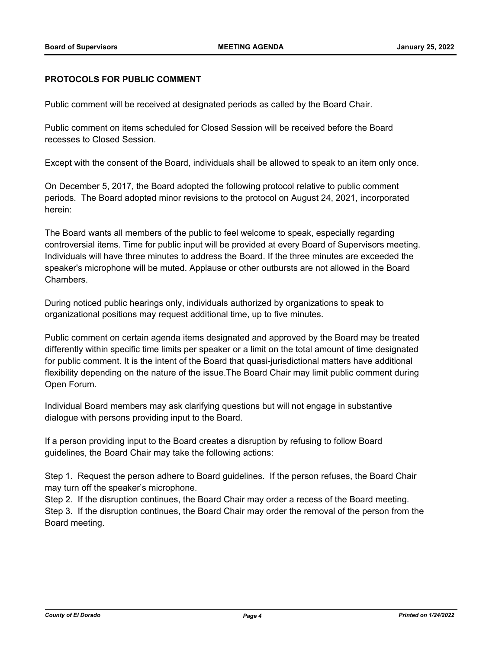#### **PROTOCOLS FOR PUBLIC COMMENT**

Public comment will be received at designated periods as called by the Board Chair.

Public comment on items scheduled for Closed Session will be received before the Board recesses to Closed Session.

Except with the consent of the Board, individuals shall be allowed to speak to an item only once.

On December 5, 2017, the Board adopted the following protocol relative to public comment periods. The Board adopted minor revisions to the protocol on August 24, 2021, incorporated herein:

The Board wants all members of the public to feel welcome to speak, especially regarding controversial items. Time for public input will be provided at every Board of Supervisors meeting. Individuals will have three minutes to address the Board. If the three minutes are exceeded the speaker's microphone will be muted. Applause or other outbursts are not allowed in the Board Chambers.

During noticed public hearings only, individuals authorized by organizations to speak to organizational positions may request additional time, up to five minutes.

Public comment on certain agenda items designated and approved by the Board may be treated differently within specific time limits per speaker or a limit on the total amount of time designated for public comment. It is the intent of the Board that quasi-jurisdictional matters have additional flexibility depending on the nature of the issue.The Board Chair may limit public comment during Open Forum.

Individual Board members may ask clarifying questions but will not engage in substantive dialogue with persons providing input to the Board.

If a person providing input to the Board creates a disruption by refusing to follow Board guidelines, the Board Chair may take the following actions:

Step 1. Request the person adhere to Board guidelines. If the person refuses, the Board Chair may turn off the speaker's microphone.

Step 2. If the disruption continues, the Board Chair may order a recess of the Board meeting. Step 3. If the disruption continues, the Board Chair may order the removal of the person from the Board meeting.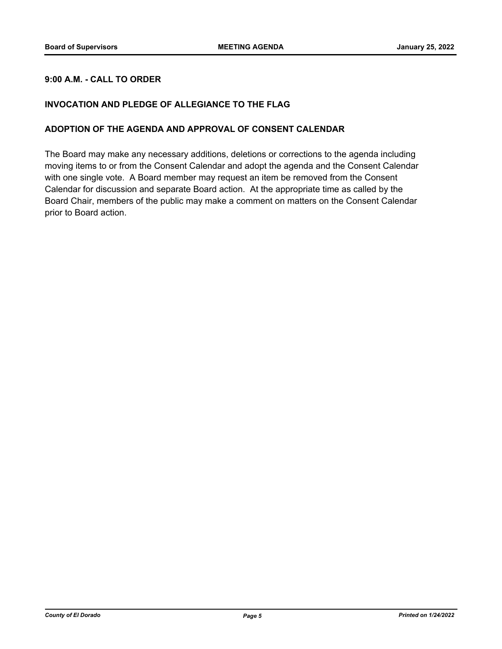## **9:00 A.M. - CALL TO ORDER**

## **INVOCATION AND PLEDGE OF ALLEGIANCE TO THE FLAG**

## **ADOPTION OF THE AGENDA AND APPROVAL OF CONSENT CALENDAR**

The Board may make any necessary additions, deletions or corrections to the agenda including moving items to or from the Consent Calendar and adopt the agenda and the Consent Calendar with one single vote. A Board member may request an item be removed from the Consent Calendar for discussion and separate Board action. At the appropriate time as called by the Board Chair, members of the public may make a comment on matters on the Consent Calendar prior to Board action.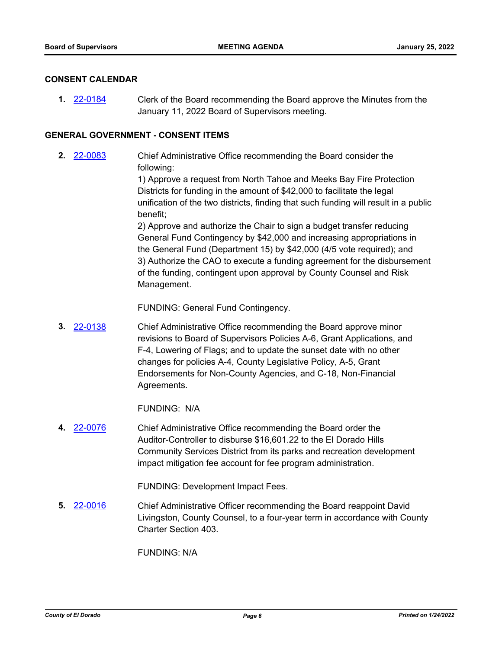#### **CONSENT CALENDAR**

Clerk of the Board recommending the Board approve the Minutes from the January 11, 2022 Board of Supervisors meeting. **1.** [22-0184](http://eldorado.legistar.com/gateway.aspx?m=l&id=/matter.aspx?key=31085)

#### **GENERAL GOVERNMENT - CONSENT ITEMS**

Chief Administrative Office recommending the Board consider the following: **2.** [22-0083](http://eldorado.legistar.com/gateway.aspx?m=l&id=/matter.aspx?key=30983)

> 1) Approve a request from North Tahoe and Meeks Bay Fire Protection Districts for funding in the amount of \$42,000 to facilitate the legal unification of the two districts, finding that such funding will result in a public benefit;

> 2) Approve and authorize the Chair to sign a budget transfer reducing General Fund Contingency by \$42,000 and increasing appropriations in the General Fund (Department 15) by \$42,000 (4/5 vote required); and 3) Authorize the CAO to execute a funding agreement for the disbursement of the funding, contingent upon approval by County Counsel and Risk Management.

FUNDING: General Fund Contingency.

Chief Administrative Office recommending the Board approve minor revisions to Board of Supervisors Policies A-6, Grant Applications, and F-4, Lowering of Flags; and to update the sunset date with no other changes for policies A-4, County Legislative Policy, A-5, Grant Endorsements for Non-County Agencies, and C-18, Non-Financial Agreements. **3.** [22-0138](http://eldorado.legistar.com/gateway.aspx?m=l&id=/matter.aspx?key=31039)

FUNDING: N/A

Chief Administrative Office recommending the Board order the Auditor-Controller to disburse \$16,601.22 to the El Dorado Hills Community Services District from its parks and recreation development impact mitigation fee account for fee program administration. **4.** [22-0076](http://eldorado.legistar.com/gateway.aspx?m=l&id=/matter.aspx?key=30976)

FUNDING: Development Impact Fees.

Chief Administrative Officer recommending the Board reappoint David Livingston, County Counsel, to a four-year term in accordance with County Charter Section 403. **5.** [22-0016](http://eldorado.legistar.com/gateway.aspx?m=l&id=/matter.aspx?key=30916)

FUNDING: N/A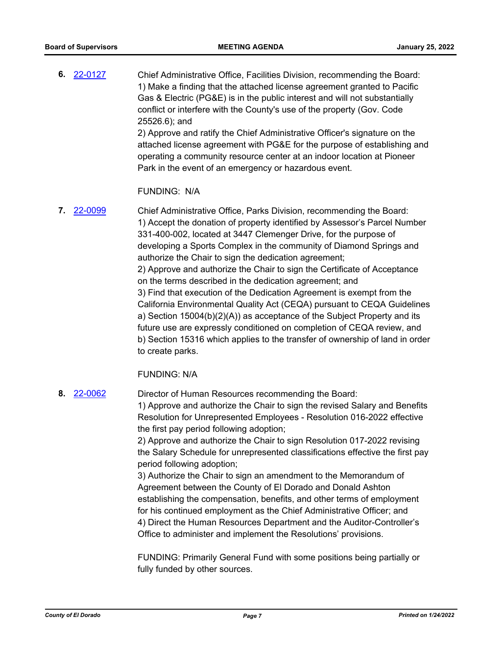Chief Administrative Office, Facilities Division, recommending the Board: 1) Make a finding that the attached license agreement granted to Pacific Gas & Electric (PG&E) is in the public interest and will not substantially conflict or interfere with the County's use of the property (Gov. Code 25526.6); and 2) Approve and ratify the Chief Administrative Officer's signature on the **6.** [22-0127](http://eldorado.legistar.com/gateway.aspx?m=l&id=/matter.aspx?key=31028)

attached license agreement with PG&E for the purpose of establishing and operating a community resource center at an indoor location at Pioneer Park in the event of an emergency or hazardous event.

#### FUNDING: N/A

Chief Administrative Office, Parks Division, recommending the Board: 1) Accept the donation of property identified by Assessor's Parcel Number 331-400-002, located at 3447 Clemenger Drive, for the purpose of developing a Sports Complex in the community of Diamond Springs and authorize the Chair to sign the dedication agreement; 2) Approve and authorize the Chair to sign the Certificate of Acceptance on the terms described in the dedication agreement; and 3) Find that execution of the Dedication Agreement is exempt from the California Environmental Quality Act (CEQA) pursuant to CEQA Guidelines a) Section 15004(b)(2)(A)) as acceptance of the Subject Property and its future use are expressly conditioned on completion of CEQA review, and b) Section 15316 which applies to the transfer of ownership of land in order to create parks. **7.** [22-0099](http://eldorado.legistar.com/gateway.aspx?m=l&id=/matter.aspx?key=30999)

## FUNDING: N/A

Director of Human Resources recommending the Board: 1) Approve and authorize the Chair to sign the revised Salary and Benefits Resolution for Unrepresented Employees - Resolution 016-2022 effective the first pay period following adoption; **8.** [22-0062](http://eldorado.legistar.com/gateway.aspx?m=l&id=/matter.aspx?key=30962)

> 2) Approve and authorize the Chair to sign Resolution 017-2022 revising the Salary Schedule for unrepresented classifications effective the first pay period following adoption;

3) Authorize the Chair to sign an amendment to the Memorandum of Agreement between the County of El Dorado and Donald Ashton establishing the compensation, benefits, and other terms of employment for his continued employment as the Chief Administrative Officer; and 4) Direct the Human Resources Department and the Auditor-Controller's Office to administer and implement the Resolutions' provisions.

FUNDING: Primarily General Fund with some positions being partially or fully funded by other sources.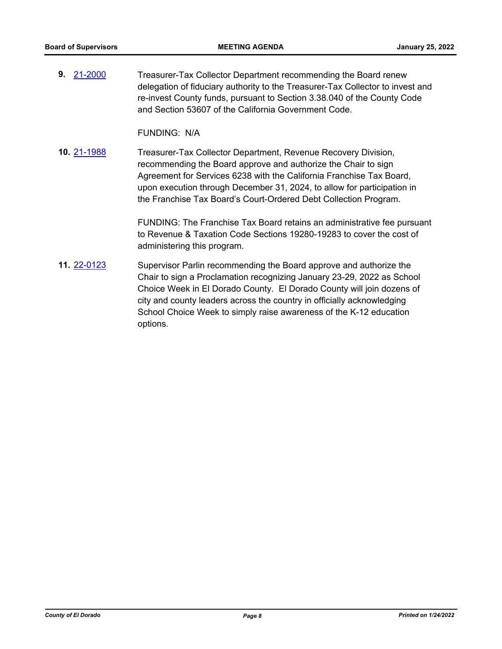Treasurer-Tax Collector Department recommending the Board renew delegation of fiduciary authority to the Treasurer-Tax Collector to invest and re-invest County funds, pursuant to Section 3.38.040 of the County Code and Section 53607 of the California Government Code. **9.** [21-2000](http://eldorado.legistar.com/gateway.aspx?m=l&id=/matter.aspx?key=30897)

FUNDING: N/A

Treasurer-Tax Collector Department, Revenue Recovery Division, recommending the Board approve and authorize the Chair to sign Agreement for Services 6238 with the California Franchise Tax Board, upon execution through December 31, 2024, to allow for participation in the Franchise Tax Board's Court-Ordered Debt Collection Program. **10.** [21-1988](http://eldorado.legistar.com/gateway.aspx?m=l&id=/matter.aspx?key=30884)

> FUNDING: The Franchise Tax Board retains an administrative fee pursuant to Revenue & Taxation Code Sections 19280-19283 to cover the cost of administering this program.

Supervisor Parlin recommending the Board approve and authorize the Chair to sign a Proclamation recognizing January 23-29, 2022 as School Choice Week in El Dorado County. El Dorado County will join dozens of city and county leaders across the country in officially acknowledging School Choice Week to simply raise awareness of the K-12 education options. **11.** [22-0123](http://eldorado.legistar.com/gateway.aspx?m=l&id=/matter.aspx?key=31024)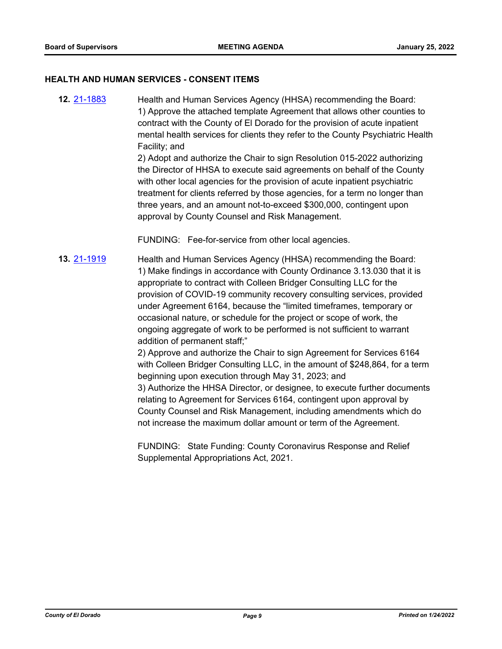#### **HEALTH AND HUMAN SERVICES - CONSENT ITEMS**

Health and Human Services Agency (HHSA) recommending the Board: 1) Approve the attached template Agreement that allows other counties to contract with the County of El Dorado for the provision of acute inpatient mental health services for clients they refer to the County Psychiatric Health Facility; and **12.** [21-1883](http://eldorado.legistar.com/gateway.aspx?m=l&id=/matter.aspx?key=30779)

2) Adopt and authorize the Chair to sign Resolution 015-2022 authorizing the Director of HHSA to execute said agreements on behalf of the County with other local agencies for the provision of acute inpatient psychiatric treatment for clients referred by those agencies, for a term no longer than three years, and an amount not-to-exceed \$300,000, contingent upon approval by County Counsel and Risk Management.

FUNDING: Fee-for-service from other local agencies.

Health and Human Services Agency (HHSA) recommending the Board: 1) Make findings in accordance with County Ordinance 3.13.030 that it is appropriate to contract with Colleen Bridger Consulting LLC for the provision of COVID-19 community recovery consulting services, provided under Agreement 6164, because the "limited timeframes, temporary or occasional nature, or schedule for the project or scope of work, the ongoing aggregate of work to be performed is not sufficient to warrant addition of permanent staff;" **13.** [21-1919](http://eldorado.legistar.com/gateway.aspx?m=l&id=/matter.aspx?key=30815)

2) Approve and authorize the Chair to sign Agreement for Services 6164 with Colleen Bridger Consulting LLC, in the amount of \$248,864, for a term beginning upon execution through May 31, 2023; and

3) Authorize the HHSA Director, or designee, to execute further documents relating to Agreement for Services 6164, contingent upon approval by County Counsel and Risk Management, including amendments which do not increase the maximum dollar amount or term of the Agreement.

FUNDING: State Funding: County Coronavirus Response and Relief Supplemental Appropriations Act, 2021.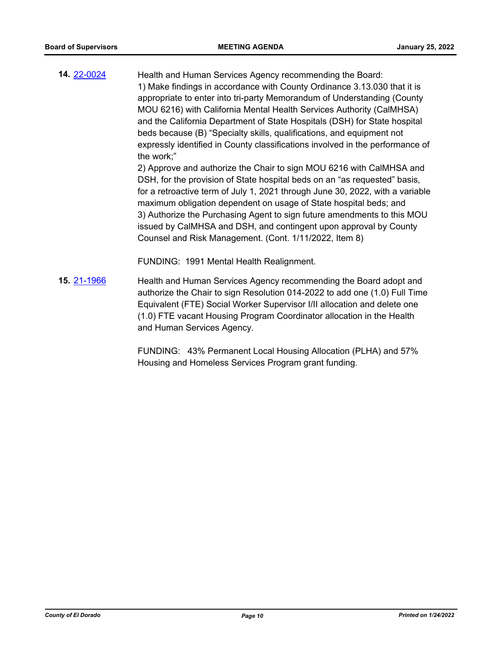Health and Human Services Agency recommending the Board: 1) Make findings in accordance with County Ordinance 3.13.030 that it is appropriate to enter into tri-party Memorandum of Understanding (County MOU 6216) with California Mental Health Services Authority (CalMHSA) and the California Department of State Hospitals (DSH) for State hospital beds because (B) "Specialty skills, qualifications, and equipment not expressly identified in County classifications involved in the performance of the work;" **14.** [22-0024](http://eldorado.legistar.com/gateway.aspx?m=l&id=/matter.aspx?key=30924)

2) Approve and authorize the Chair to sign MOU 6216 with CalMHSA and DSH, for the provision of State hospital beds on an "as requested" basis, for a retroactive term of July 1, 2021 through June 30, 2022, with a variable maximum obligation dependent on usage of State hospital beds; and 3) Authorize the Purchasing Agent to sign future amendments to this MOU issued by CalMHSA and DSH, and contingent upon approval by County Counsel and Risk Management. (Cont. 1/11/2022, Item 8)

FUNDING: 1991 Mental Health Realignment.

Health and Human Services Agency recommending the Board adopt and authorize the Chair to sign Resolution 014-2022 to add one (1.0) Full Time Equivalent (FTE) Social Worker Supervisor I/II allocation and delete one (1.0) FTE vacant Housing Program Coordinator allocation in the Health and Human Services Agency. **15.** [21-1966](http://eldorado.legistar.com/gateway.aspx?m=l&id=/matter.aspx?key=30862)

> FUNDING: 43% Permanent Local Housing Allocation (PLHA) and 57% Housing and Homeless Services Program grant funding.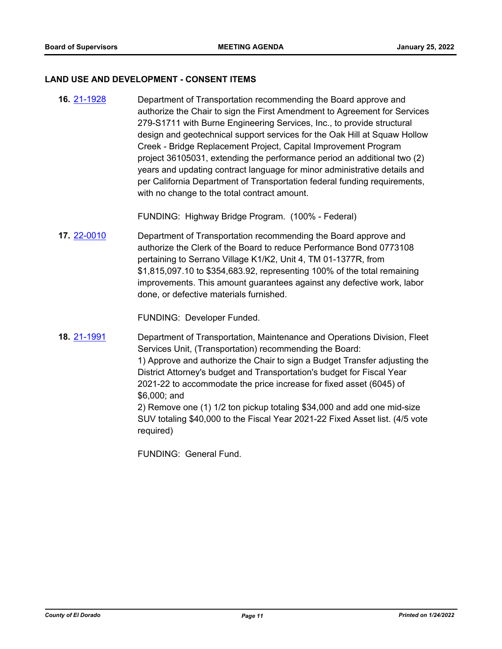#### **LAND USE AND DEVELOPMENT - CONSENT ITEMS**

Department of Transportation recommending the Board approve and authorize the Chair to sign the First Amendment to Agreement for Services 279-S1711 with Burne Engineering Services, Inc., to provide structural design and geotechnical support services for the Oak Hill at Squaw Hollow Creek - Bridge Replacement Project, Capital Improvement Program project 36105031, extending the performance period an additional two (2) years and updating contract language for minor administrative details and per California Department of Transportation federal funding requirements, with no change to the total contract amount. **16.** [21-1928](http://eldorado.legistar.com/gateway.aspx?m=l&id=/matter.aspx?key=30824)

FUNDING: Highway Bridge Program. (100% - Federal)

Department of Transportation recommending the Board approve and authorize the Clerk of the Board to reduce Performance Bond 0773108 pertaining to Serrano Village K1/K2, Unit 4, TM 01-1377R, from \$1,815,097.10 to \$354,683.92, representing 100% of the total remaining improvements. This amount guarantees against any defective work, labor done, or defective materials furnished. **17.** [22-0010](http://eldorado.legistar.com/gateway.aspx?m=l&id=/matter.aspx?key=30910)

FUNDING: Developer Funded.

Department of Transportation, Maintenance and Operations Division, Fleet Services Unit, (Transportation) recommending the Board: 1) Approve and authorize the Chair to sign a Budget Transfer adjusting the District Attorney's budget and Transportation's budget for Fiscal Year 2021-22 to accommodate the price increase for fixed asset (6045) of \$6,000; and 2) Remove one (1) 1/2 ton pickup totaling \$34,000 and add one mid-size SUV totaling \$40,000 to the Fiscal Year 2021-22 Fixed Asset list. (4/5 vote required) **18.** [21-1991](http://eldorado.legistar.com/gateway.aspx?m=l&id=/matter.aspx?key=30887)

FUNDING: General Fund.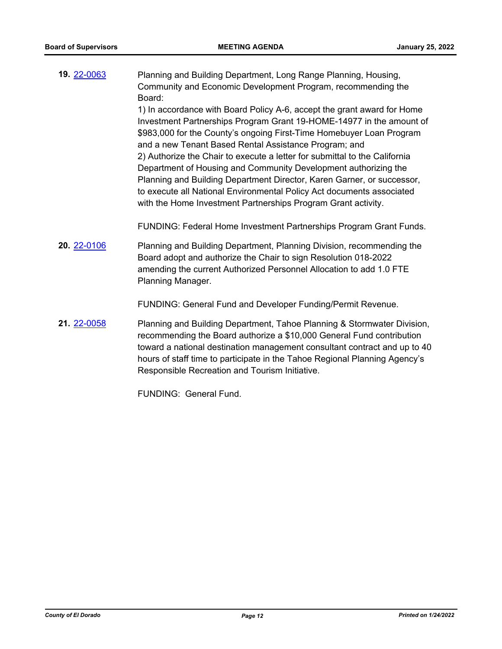Planning and Building Department, Long Range Planning, Housing, Community and Economic Development Program, recommending the Board: 1) In accordance with Board Policy A-6, accept the grant award for Home Investment Partnerships Program Grant 19-HOME-14977 in the amount of **19.** [22-0063](http://eldorado.legistar.com/gateway.aspx?m=l&id=/matter.aspx?key=30963)

\$983,000 for the County's ongoing First-Time Homebuyer Loan Program and a new Tenant Based Rental Assistance Program; and 2) Authorize the Chair to execute a letter for submittal to the California Department of Housing and Community Development authorizing the Planning and Building Department Director, Karen Garner, or successor, to execute all National Environmental Policy Act documents associated with the Home Investment Partnerships Program Grant activity.

FUNDING: Federal Home Investment Partnerships Program Grant Funds.

Planning and Building Department, Planning Division, recommending the Board adopt and authorize the Chair to sign Resolution 018-2022 amending the current Authorized Personnel Allocation to add 1.0 FTE Planning Manager. **20.** [22-0106](http://eldorado.legistar.com/gateway.aspx?m=l&id=/matter.aspx?key=31006)

FUNDING: General Fund and Developer Funding/Permit Revenue.

Planning and Building Department, Tahoe Planning & Stormwater Division, recommending the Board authorize a \$10,000 General Fund contribution toward a national destination management consultant contract and up to 40 hours of staff time to participate in the Tahoe Regional Planning Agency's Responsible Recreation and Tourism Initiative. **21.** [22-0058](http://eldorado.legistar.com/gateway.aspx?m=l&id=/matter.aspx?key=30958)

FUNDING: General Fund.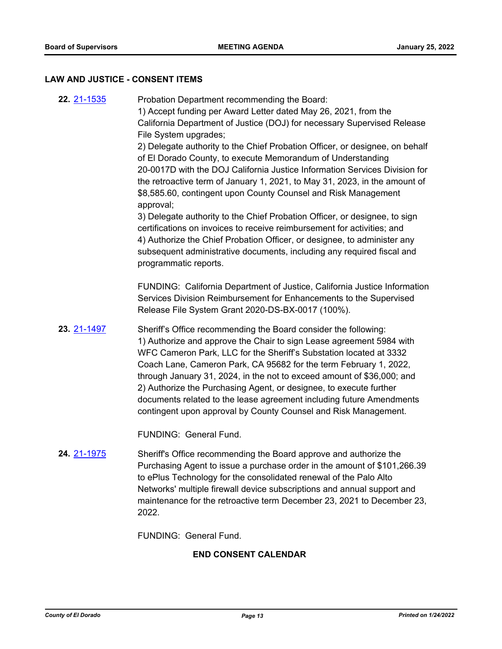## **LAW AND JUSTICE - CONSENT ITEMS**

| 22. 21-1535                 | Probation Department recommending the Board:<br>1) Accept funding per Award Letter dated May 26, 2021, from the<br>California Department of Justice (DOJ) for necessary Supervised Release<br>File System upgrades;<br>2) Delegate authority to the Chief Probation Officer, or designee, on behalf<br>of El Dorado County, to execute Memorandum of Understanding<br>20-0017D with the DOJ California Justice Information Services Division for<br>the retroactive term of January 1, 2021, to May 31, 2023, in the amount of<br>\$8,585.60, contingent upon County Counsel and Risk Management<br>approval;<br>3) Delegate authority to the Chief Probation Officer, or designee, to sign<br>certifications on invoices to receive reimbursement for activities; and<br>4) Authorize the Chief Probation Officer, or designee, to administer any<br>subsequent administrative documents, including any required fiscal and<br>programmatic reports. |  |
|-----------------------------|-------------------------------------------------------------------------------------------------------------------------------------------------------------------------------------------------------------------------------------------------------------------------------------------------------------------------------------------------------------------------------------------------------------------------------------------------------------------------------------------------------------------------------------------------------------------------------------------------------------------------------------------------------------------------------------------------------------------------------------------------------------------------------------------------------------------------------------------------------------------------------------------------------------------------------------------------------|--|
|                             | FUNDING: California Department of Justice, California Justice Information<br>Services Division Reimbursement for Enhancements to the Supervised<br>Release File System Grant 2020-DS-BX-0017 (100%).                                                                                                                                                                                                                                                                                                                                                                                                                                                                                                                                                                                                                                                                                                                                                  |  |
| 23. 21-1497                 | Sheriff's Office recommending the Board consider the following:<br>1) Authorize and approve the Chair to sign Lease agreement 5984 with<br>WFC Cameron Park, LLC for the Sheriff's Substation located at 3332<br>Coach Lane, Cameron Park, CA 95682 for the term February 1, 2022,<br>through January 31, 2024, in the not to exceed amount of \$36,000; and<br>2) Authorize the Purchasing Agent, or designee, to execute further<br>documents related to the lease agreement including future Amendments<br>contingent upon approval by County Counsel and Risk Management.                                                                                                                                                                                                                                                                                                                                                                         |  |
|                             | FUNDING: General Fund.                                                                                                                                                                                                                                                                                                                                                                                                                                                                                                                                                                                                                                                                                                                                                                                                                                                                                                                                |  |
| <b>24. 21-1975</b>          | Sheriff's Office recommending the Board approve and authorize the<br>Purchasing Agent to issue a purchase order in the amount of \$101,266.39<br>to ePlus Technology for the consolidated renewal of the Palo Alto<br>Networks' multiple firewall device subscriptions and annual support and<br>maintenance for the retroactive term December 23, 2021 to December 23,<br>2022.                                                                                                                                                                                                                                                                                                                                                                                                                                                                                                                                                                      |  |
|                             | <b>FUNDING: General Fund.</b>                                                                                                                                                                                                                                                                                                                                                                                                                                                                                                                                                                                                                                                                                                                                                                                                                                                                                                                         |  |
| <b>END CONSENT CALENDAR</b> |                                                                                                                                                                                                                                                                                                                                                                                                                                                                                                                                                                                                                                                                                                                                                                                                                                                                                                                                                       |  |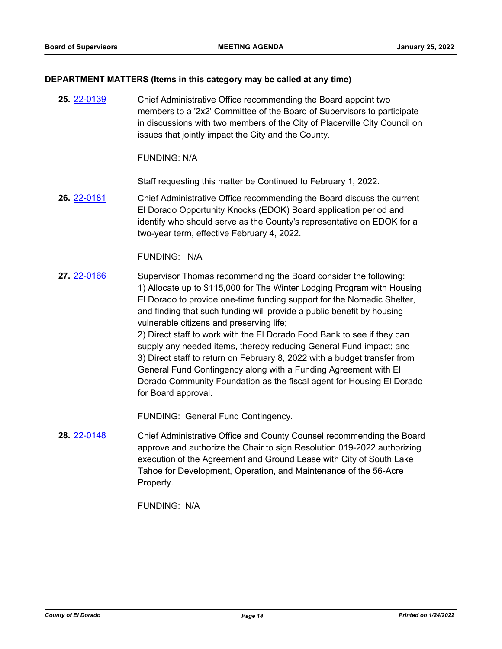#### **DEPARTMENT MATTERS (Items in this category may be called at any time)**

Chief Administrative Office recommending the Board appoint two members to a '2x2' Committee of the Board of Supervisors to participate in discussions with two members of the City of Placerville City Council on issues that jointly impact the City and the County. **25.** [22-0139](http://eldorado.legistar.com/gateway.aspx?m=l&id=/matter.aspx?key=31040)

FUNDING: N/A

Staff requesting this matter be Continued to February 1, 2022.

Chief Administrative Office recommending the Board discuss the current El Dorado Opportunity Knocks (EDOK) Board application period and identify who should serve as the County's representative on EDOK for a two-year term, effective February 4, 2022. **26.** [22-0181](http://eldorado.legistar.com/gateway.aspx?m=l&id=/matter.aspx?key=31082)

#### FUNDING: N/A

Supervisor Thomas recommending the Board consider the following: 1) Allocate up to \$115,000 for The Winter Lodging Program with Housing El Dorado to provide one-time funding support for the Nomadic Shelter, and finding that such funding will provide a public benefit by housing vulnerable citizens and preserving life; **27.** [22-0166](http://eldorado.legistar.com/gateway.aspx?m=l&id=/matter.aspx?key=31067)

2) Direct staff to work with the El Dorado Food Bank to see if they can supply any needed items, thereby reducing General Fund impact; and 3) Direct staff to return on February 8, 2022 with a budget transfer from General Fund Contingency along with a Funding Agreement with El Dorado Community Foundation as the fiscal agent for Housing El Dorado for Board approval.

FUNDING: General Fund Contingency.

Chief Administrative Office and County Counsel recommending the Board approve and authorize the Chair to sign Resolution 019-2022 authorizing execution of the Agreement and Ground Lease with City of South Lake Tahoe for Development, Operation, and Maintenance of the 56-Acre Property. **28.** [22-0148](http://eldorado.legistar.com/gateway.aspx?m=l&id=/matter.aspx?key=31049)

FUNDING: N/A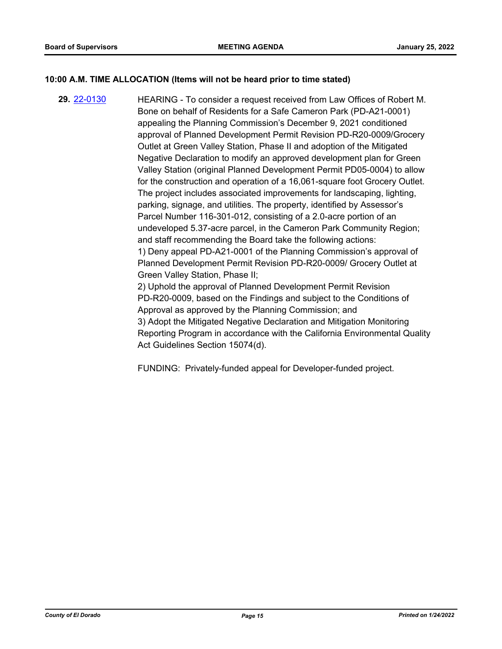## **10:00 A.M. TIME ALLOCATION (Items will not be heard prior to time stated)**

HEARING - To consider a request received from Law Offices of Robert M. Bone on behalf of Residents for a Safe Cameron Park (PD-A21-0001) appealing the Planning Commission's December 9, 2021 conditioned approval of Planned Development Permit Revision PD-R20-0009/Grocery Outlet at Green Valley Station, Phase II and adoption of the Mitigated Negative Declaration to modify an approved development plan for Green Valley Station (original Planned Development Permit PD05-0004) to allow for the construction and operation of a 16,061-square foot Grocery Outlet. The project includes associated improvements for landscaping, lighting, parking, signage, and utilities. The property, identified by Assessor's Parcel Number 116-301-012, consisting of a 2.0-acre portion of an undeveloped 5.37-acre parcel, in the Cameron Park Community Region; and staff recommending the Board take the following actions: 1) Deny appeal PD-A21-0001 of the Planning Commission's approval of Planned Development Permit Revision PD-R20-0009/ Grocery Outlet at Green Valley Station, Phase II; 2) Uphold the approval of Planned Development Permit Revision PD-R20-0009, based on the Findings and subject to the Conditions of Approval as approved by the Planning Commission; and 3) Adopt the Mitigated Negative Declaration and Mitigation Monitoring Reporting Program in accordance with the California Environmental Quality Act Guidelines Section 15074(d). **29.** [22-0130](http://eldorado.legistar.com/gateway.aspx?m=l&id=/matter.aspx?key=31031)

FUNDING: Privately-funded appeal for Developer-funded project.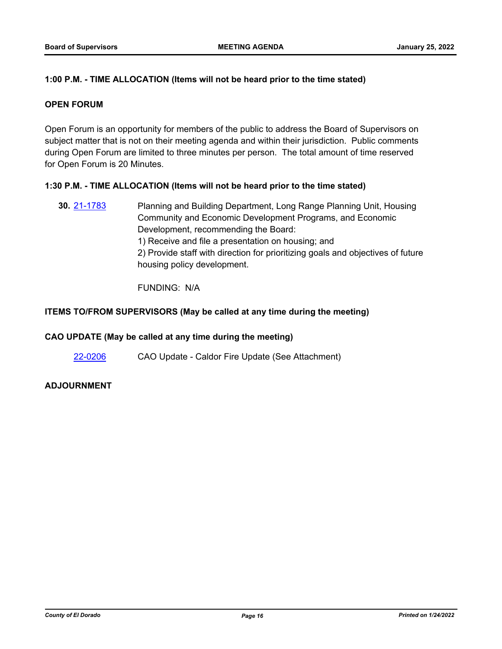## **1:00 P.M. - TIME ALLOCATION (Items will not be heard prior to the time stated)**

#### **OPEN FORUM**

Open Forum is an opportunity for members of the public to address the Board of Supervisors on subject matter that is not on their meeting agenda and within their jurisdiction. Public comments during Open Forum are limited to three minutes per person. The total amount of time reserved for Open Forum is 20 Minutes.

#### **1:30 P.M. - TIME ALLOCATION (Items will not be heard prior to the time stated)**

Planning and Building Department, Long Range Planning Unit, Housing Community and Economic Development Programs, and Economic Development, recommending the Board: 1) Receive and file a presentation on housing; and 2) Provide staff with direction for prioritizing goals and objectives of future housing policy development. **30.** [21-1783](http://eldorado.legistar.com/gateway.aspx?m=l&id=/matter.aspx?key=30679)

FUNDING: N/A

#### **ITEMS TO/FROM SUPERVISORS (May be called at any time during the meeting)**

#### **CAO UPDATE (May be called at any time during the meeting)**

[22-0206](http://eldorado.legistar.com/gateway.aspx?m=l&id=/matter.aspx?key=31107) CAO Update - Caldor Fire Update (See Attachment)

## **ADJOURNMENT**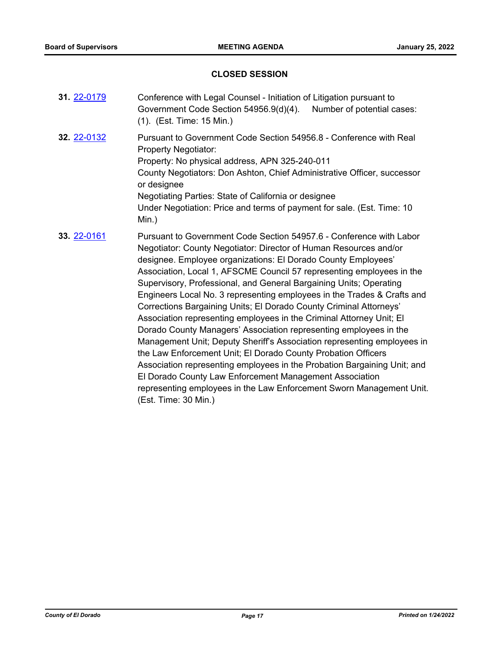# **CLOSED SESSION**

| 31. 22-0179 | Conference with Legal Counsel - Initiation of Litigation pursuant to<br>Government Code Section 54956.9(d)(4).<br>Number of potential cases:<br>(1). (Est. Time: 15 Min.)                                                                                                                                                                                                                                                                                                                                                                                                                                                                                                                                                                                                                                                                                                                                                                                                                                                                 |  |
|-------------|-------------------------------------------------------------------------------------------------------------------------------------------------------------------------------------------------------------------------------------------------------------------------------------------------------------------------------------------------------------------------------------------------------------------------------------------------------------------------------------------------------------------------------------------------------------------------------------------------------------------------------------------------------------------------------------------------------------------------------------------------------------------------------------------------------------------------------------------------------------------------------------------------------------------------------------------------------------------------------------------------------------------------------------------|--|
| 32. 22-0132 | Pursuant to Government Code Section 54956.8 - Conference with Real<br><b>Property Negotiator:</b><br>Property: No physical address, APN 325-240-011<br>County Negotiators: Don Ashton, Chief Administrative Officer, successor<br>or designee<br>Negotiating Parties: State of California or designee<br>Under Negotiation: Price and terms of payment for sale. (Est. Time: 10<br>Min.)                                                                                                                                                                                                                                                                                                                                                                                                                                                                                                                                                                                                                                                  |  |
| 33. 22-0161 | Pursuant to Government Code Section 54957.6 - Conference with Labor<br>Negotiator: County Negotiator: Director of Human Resources and/or<br>designee. Employee organizations: El Dorado County Employees'<br>Association, Local 1, AFSCME Council 57 representing employees in the<br>Supervisory, Professional, and General Bargaining Units; Operating<br>Engineers Local No. 3 representing employees in the Trades & Crafts and<br>Corrections Bargaining Units; El Dorado County Criminal Attorneys'<br>Association representing employees in the Criminal Attorney Unit; El<br>Dorado County Managers' Association representing employees in the<br>Management Unit; Deputy Sheriff's Association representing employees in<br>the Law Enforcement Unit; El Dorado County Probation Officers<br>Association representing employees in the Probation Bargaining Unit; and<br>El Dorado County Law Enforcement Management Association<br>representing employees in the Law Enforcement Sworn Management Unit.<br>(Est. Time: 30 Min.) |  |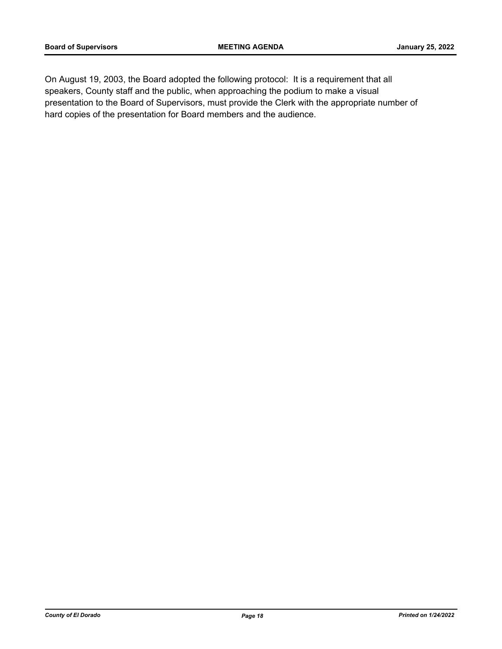On August 19, 2003, the Board adopted the following protocol: It is a requirement that all speakers, County staff and the public, when approaching the podium to make a visual presentation to the Board of Supervisors, must provide the Clerk with the appropriate number of hard copies of the presentation for Board members and the audience.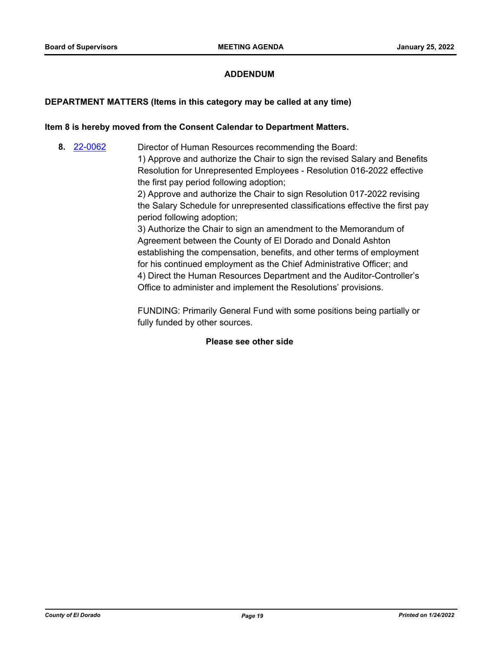## **ADDENDUM**

#### **DEPARTMENT MATTERS (Items in this category may be called at any time)**

#### **Item 8 is hereby moved from the Consent Calendar to Department Matters.**

Director of Human Resources recommending the Board: 1) Approve and authorize the Chair to sign the revised Salary and Benefits Resolution for Unrepresented Employees - Resolution 016-2022 effective the first pay period following adoption; 2) Approve and authorize the Chair to sign Resolution 017-2022 revising **8.** [22-0062](http://eldorado.legistar.com/gateway.aspx?m=l&id=/matter.aspx?key=30962)

the Salary Schedule for unrepresented classifications effective the first pay period following adoption;

3) Authorize the Chair to sign an amendment to the Memorandum of Agreement between the County of El Dorado and Donald Ashton establishing the compensation, benefits, and other terms of employment for his continued employment as the Chief Administrative Officer; and 4) Direct the Human Resources Department and the Auditor-Controller's Office to administer and implement the Resolutions' provisions.

FUNDING: Primarily General Fund with some positions being partially or fully funded by other sources.

#### **Please see other side**